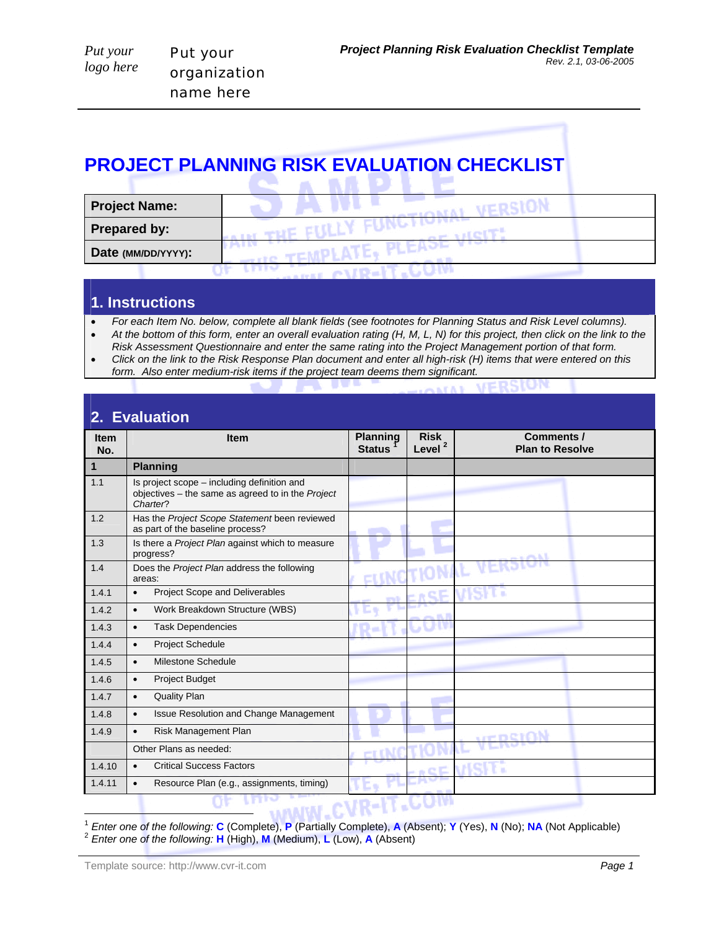## **PROJECT PLANNING RISK EVALUATION CHECKLIST COMMENT COMMENT**

| <b>Project Name:</b> |  |
|----------------------|--|
| <b>Prepared by:</b>  |  |
| Date (MM/DD/YYYY):   |  |
|                      |  |

## **1. Instructions**

• *For each Item No. below, complete all blank fields (see footnotes for Planning Status and Risk Level columns).* 

- At the bottom of this form, enter an overall evaluation rating (H, M, L, N) for this project, then click on the link to the *Risk Assessment Questionnaire and enter the same rating into the Project Management portion of that form.*
- *Click on the link to the Risk Response Plan document and enter all high-risk (H) items that were entered on this form. Also enter medium-risk items if the project team deems them significant.*

| 2. Evaluation      |                                                                                                              |                                  |                                   |                                      |
|--------------------|--------------------------------------------------------------------------------------------------------------|----------------------------------|-----------------------------------|--------------------------------------|
| <b>Item</b><br>No. | <b>Item</b>                                                                                                  | <b>Planning</b><br><b>Status</b> | <b>Risk</b><br>Level <sup>2</sup> | Comments /<br><b>Plan to Resolve</b> |
| 1                  | <b>Planning</b>                                                                                              |                                  |                                   |                                      |
| 1.1                | Is project scope – including definition and<br>objectives - the same as agreed to in the Project<br>Charter? |                                  |                                   |                                      |
| 1.2                | Has the Project Scope Statement been reviewed<br>as part of the baseline process?                            |                                  |                                   |                                      |
| 1.3                | Is there a Project Plan against which to measure<br>progress?                                                |                                  |                                   |                                      |
| 1.4                | Does the Project Plan address the following<br>areas:                                                        |                                  |                                   |                                      |
| 1.4.1              | Project Scope and Deliverables<br>$\bullet$                                                                  |                                  |                                   |                                      |
| 1.4.2              | Work Breakdown Structure (WBS)<br>$\bullet$                                                                  |                                  |                                   |                                      |
| 1.4.3              | <b>Task Dependencies</b><br>$\bullet$                                                                        |                                  |                                   |                                      |
| 1.4.4              | Project Schedule<br>$\bullet$                                                                                |                                  |                                   |                                      |
| 1.4.5              | Milestone Schedule<br>$\bullet$                                                                              |                                  |                                   |                                      |
| 1.4.6              | <b>Project Budget</b><br>$\bullet$                                                                           |                                  |                                   |                                      |
| 1.4.7              | <b>Quality Plan</b><br>$\bullet$                                                                             |                                  |                                   |                                      |
| 1.4.8              | <b>Issue Resolution and Change Management</b><br>$\bullet$                                                   |                                  |                                   |                                      |
| 1.4.9              | Risk Management Plan<br>$\bullet$                                                                            |                                  |                                   | veberan                              |
|                    | Other Plans as needed:                                                                                       |                                  |                                   |                                      |
| 1.4.10             | <b>Critical Success Factors</b><br>$\bullet$                                                                 |                                  |                                   |                                      |
| 1.4.11             | Resource Plan (e.g., assignments, timing)<br>$\bullet$                                                       |                                  |                                   |                                      |
|                    |                                                                                                              |                                  |                                   |                                      |

 $\overline{a}$ <sup>1</sup> Enter one of the following: **C** (Complete), **P** (Partially Complete), **A** (Absent); **Y** (Yes), **N** (No); **NA** (Not Applicable) <sup>2</sup> Enter one of the following: **H** (High), **M** (Medium), **L** (Low), **A** (Absent)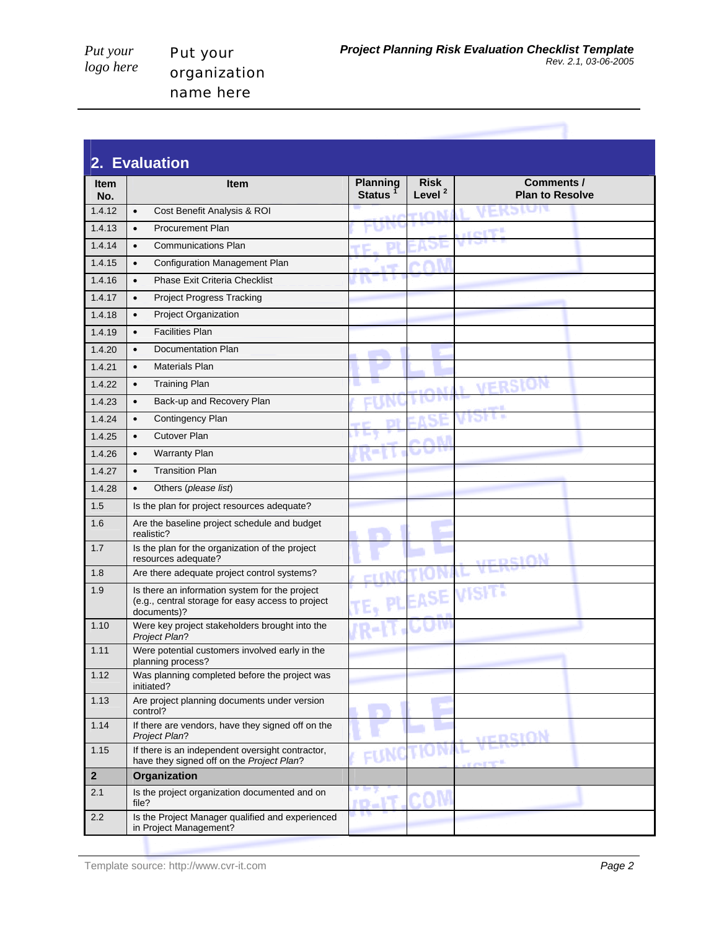| 2. Evaluation      |                                                                                                                    |                                  |                                   |                                      |
|--------------------|--------------------------------------------------------------------------------------------------------------------|----------------------------------|-----------------------------------|--------------------------------------|
| <b>Item</b><br>No. | Item                                                                                                               | <b>Planning</b><br><b>Status</b> | <b>Risk</b><br>Level <sup>2</sup> | Comments /<br><b>Plan to Resolve</b> |
| 1.4.12             | Cost Benefit Analysis & ROI<br>$\bullet$                                                                           |                                  | runn                              |                                      |
| 1.4.13             | <b>Procurement Plan</b><br>$\bullet$                                                                               |                                  |                                   |                                      |
| 1.4.14             | <b>Communications Plan</b><br>$\bullet$                                                                            |                                  |                                   |                                      |
| 1.4.15             | Configuration Management Plan<br>$\bullet$                                                                         |                                  |                                   |                                      |
| 1.4.16             | <b>Phase Exit Criteria Checklist</b><br>$\bullet$                                                                  |                                  |                                   |                                      |
| 1.4.17             | <b>Project Progress Tracking</b><br>$\bullet$                                                                      |                                  |                                   |                                      |
| 1.4.18             | Project Organization<br>$\bullet$                                                                                  |                                  |                                   |                                      |
| 1.4.19             | <b>Facilities Plan</b><br>$\bullet$                                                                                |                                  |                                   |                                      |
| 1.4.20             | Documentation Plan<br>$\bullet$                                                                                    |                                  |                                   |                                      |
| 1.4.21             | <b>Materials Plan</b><br>$\bullet$                                                                                 |                                  |                                   |                                      |
| 1.4.22             | <b>Training Plan</b><br>$\bullet$                                                                                  |                                  |                                   |                                      |
| 1.4.23             | Back-up and Recovery Plan<br>$\bullet$                                                                             |                                  |                                   |                                      |
| 1.4.24             | Contingency Plan<br>$\bullet$                                                                                      |                                  |                                   |                                      |
| 1.4.25             | <b>Cutover Plan</b><br>$\bullet$                                                                                   |                                  |                                   |                                      |
| 1.4.26             | <b>Warranty Plan</b><br>$\bullet$                                                                                  |                                  |                                   |                                      |
| 1.4.27             | <b>Transition Plan</b><br>$\bullet$                                                                                |                                  |                                   |                                      |
| 1.4.28             | Others (please list)<br>$\bullet$                                                                                  |                                  |                                   |                                      |
| 1.5                | Is the plan for project resources adequate?                                                                        |                                  |                                   |                                      |
| 1.6                | Are the baseline project schedule and budget<br>realistic?                                                         |                                  |                                   |                                      |
| 1.7                | Is the plan for the organization of the project<br>resources adequate?                                             |                                  |                                   | umpeiAN                              |
| 1.8                | Are there adequate project control systems?                                                                        |                                  |                                   |                                      |
| 1.9                | Is there an information system for the project<br>(e.g., central storage for easy access to project<br>documents)? |                                  | PLEASE                            |                                      |
| 1.10               | Were key project stakeholders brought into the<br><b>Project Plan?</b>                                             |                                  |                                   |                                      |
| 1.11               | Were potential customers involved early in the<br>planning process?                                                |                                  |                                   |                                      |
| 1.12               | Was planning completed before the project was<br>initiated?                                                        |                                  |                                   |                                      |
| 1.13               | Are project planning documents under version<br>control?                                                           |                                  |                                   |                                      |
| 1.14               | If there are vendors, have they signed off on the<br>Project Plan?                                                 |                                  |                                   | urnemaN                              |
| 1.15               | If there is an independent oversight contractor,<br>have they signed off on the Project Plan?                      | FUNG                             |                                   |                                      |
| $\overline{2}$     | Organization                                                                                                       |                                  |                                   |                                      |
| 2.1                | Is the project organization documented and on<br>file?                                                             |                                  |                                   |                                      |
| 2.2                | Is the Project Manager qualified and experienced<br>in Project Management?                                         |                                  |                                   |                                      |

Template source: http://www.cvr-it.com *Page 2*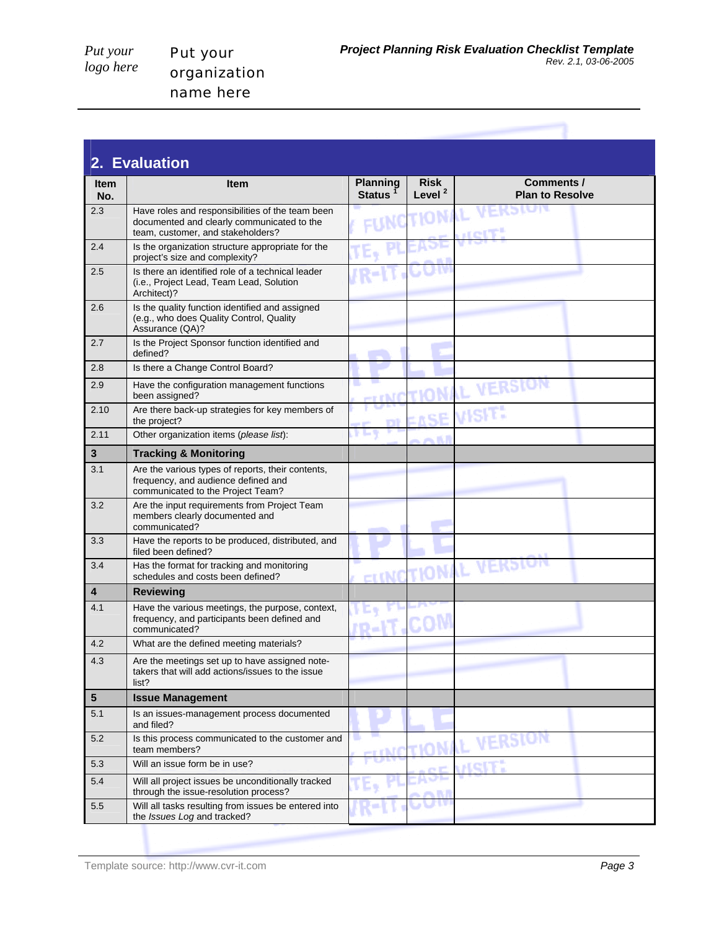Put your organization name here

|                    | 2. Evaluation                                                                                                                       |                                  |                                   |                                      |  |
|--------------------|-------------------------------------------------------------------------------------------------------------------------------------|----------------------------------|-----------------------------------|--------------------------------------|--|
| <b>Item</b><br>No. | <b>Item</b>                                                                                                                         | <b>Planning</b><br><b>Status</b> | <b>Risk</b><br>Level <sup>2</sup> | Comments /<br><b>Plan to Resolve</b> |  |
| 2.3                | Have roles and responsibilities of the team been<br>documented and clearly communicated to the<br>team, customer, and stakeholders? |                                  |                                   |                                      |  |
| 2.4                | Is the organization structure appropriate for the<br>project's size and complexity?                                                 |                                  |                                   |                                      |  |
| 2.5                | Is there an identified role of a technical leader<br>(i.e., Project Lead, Team Lead, Solution<br>Architect)?                        |                                  |                                   |                                      |  |
| 2.6                | Is the quality function identified and assigned<br>(e.g., who does Quality Control, Quality<br>Assurance (QA)?                      |                                  |                                   |                                      |  |
| 2.7                | Is the Project Sponsor function identified and<br>defined?                                                                          |                                  |                                   |                                      |  |
| 2.8                | Is there a Change Control Board?                                                                                                    |                                  |                                   |                                      |  |
| 2.9                | Have the configuration management functions<br>been assigned?                                                                       |                                  |                                   |                                      |  |
| 2.10               | Are there back-up strategies for key members of<br>the project?                                                                     |                                  |                                   |                                      |  |
| 2.11               | Other organization items (please list):                                                                                             |                                  |                                   |                                      |  |
| 3                  | <b>Tracking &amp; Monitoring</b>                                                                                                    |                                  |                                   |                                      |  |
| 3.1                | Are the various types of reports, their contents,<br>frequency, and audience defined and<br>communicated to the Project Team?       |                                  |                                   |                                      |  |
| 3.2                | Are the input requirements from Project Team<br>members clearly documented and<br>communicated?                                     |                                  |                                   |                                      |  |
| 3.3                | Have the reports to be produced, distributed, and<br>filed been defined?                                                            |                                  |                                   |                                      |  |
| 3.4                | Has the format for tracking and monitoring<br>schedules and costs been defined?                                                     | – r INIC                         |                                   |                                      |  |
| 4                  | Reviewing                                                                                                                           |                                  |                                   |                                      |  |
| 4.1                | Have the various meetings, the purpose, context,<br>frequency, and participants been defined and<br>communicated?                   | D a                              |                                   |                                      |  |
| 4.2                | What are the defined meeting materials?                                                                                             |                                  |                                   |                                      |  |
| 4.3                | Are the meetings set up to have assigned note-<br>takers that will add actions/issues to the issue<br>list?                         |                                  |                                   |                                      |  |
| 5                  | <b>Issue Management</b>                                                                                                             |                                  |                                   |                                      |  |
| 5.1                | Is an issues-management process documented<br>and filed?                                                                            |                                  |                                   |                                      |  |
| 5.2                | Is this process communicated to the customer and<br>team members?                                                                   |                                  |                                   | VERSIO                               |  |
| 5.3                | Will an issue form be in use?                                                                                                       |                                  |                                   |                                      |  |
| 5.4                | Will all project issues be unconditionally tracked<br>through the issue-resolution process?                                         |                                  |                                   |                                      |  |
| 5.5                | Will all tasks resulting from issues be entered into<br>the Issues Log and tracked?                                                 |                                  |                                   |                                      |  |

Template source: http://www.cvr-it.com *Page 3*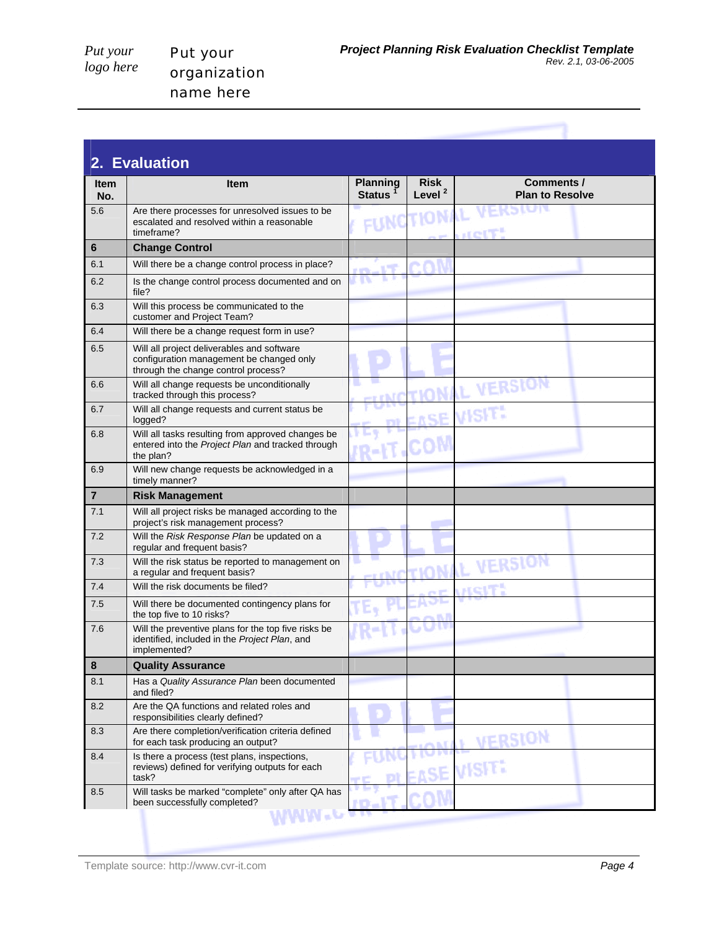Put your organization name here

|                    | 2. Evaluation                                                                                                                 |                                        |                                   |                                      |  |
|--------------------|-------------------------------------------------------------------------------------------------------------------------------|----------------------------------------|-----------------------------------|--------------------------------------|--|
| <b>Item</b><br>No. | <b>Item</b>                                                                                                                   | <b>Planning</b><br>Status <sup>1</sup> | <b>Risk</b><br>Level <sup>2</sup> | Comments /<br><b>Plan to Resolve</b> |  |
| 5.6                | Are there processes for unresolved issues to be<br>escalated and resolved within a reasonable<br>timeframe?                   |                                        | FUNCTIONAL                        | AFKSIGL<br><b>MOIT!</b>              |  |
| 6                  | <b>Change Control</b>                                                                                                         |                                        |                                   |                                      |  |
| 6.1                | Will there be a change control process in place?                                                                              | - 55                                   |                                   |                                      |  |
| 6.2                | Is the change control process documented and on<br>file?                                                                      |                                        |                                   |                                      |  |
| 6.3                | Will this process be communicated to the<br>customer and Project Team?                                                        |                                        |                                   |                                      |  |
| 6.4                | Will there be a change request form in use?                                                                                   |                                        |                                   |                                      |  |
| 6.5                | Will all project deliverables and software<br>configuration management be changed only<br>through the change control process? |                                        |                                   |                                      |  |
| 6.6                | Will all change requests be unconditionally<br>tracked through this process?                                                  |                                        |                                   | VERSION                              |  |
| 6.7                | Will all change requests and current status be<br>logged?                                                                     |                                        |                                   | VISIT:                               |  |
| 6.8                | Will all tasks resulting from approved changes be<br>entered into the Project Plan and tracked through<br>the plan?           |                                        |                                   |                                      |  |
| 6.9                | Will new change requests be acknowledged in a<br>timely manner?                                                               |                                        |                                   |                                      |  |
| 7                  | <b>Risk Management</b>                                                                                                        |                                        |                                   |                                      |  |
| 7.1                | Will all project risks be managed according to the<br>project's risk management process?                                      |                                        |                                   |                                      |  |
| 7.2                | Will the Risk Response Plan be updated on a<br>regular and frequent basis?                                                    |                                        |                                   |                                      |  |
| 7.3                | Will the risk status be reported to management on<br>a regular and frequent basis?                                            |                                        |                                   |                                      |  |
| 7.4                | Will the risk documents be filed?                                                                                             |                                        |                                   |                                      |  |
| 7.5                | Will there be documented contingency plans for<br>the top five to 10 risks?                                                   |                                        |                                   |                                      |  |
| 7.6                | Will the preventive plans for the top five risks be.<br>identified, included in the Project Plan, and<br>implemented?         |                                        |                                   |                                      |  |
| 8                  | <b>Quality Assurance</b>                                                                                                      |                                        |                                   |                                      |  |
| 8.1                | Has a Quality Assurance Plan been documented<br>and filed?                                                                    |                                        |                                   |                                      |  |
| 8.2                | Are the QA functions and related roles and<br>responsibilities clearly defined?                                               |                                        |                                   |                                      |  |
| 8.3                | Are there completion/verification criteria defined<br>for each task producing an output?                                      |                                        |                                   | VERSION                              |  |
| 8.4                | Is there a process (test plans, inspections,<br>reviews) defined for verifying outputs for each<br>task?                      |                                        |                                   |                                      |  |
| 8.5                | Will tasks be marked "complete" only after QA has<br>been successfully completed?                                             |                                        |                                   |                                      |  |
|                    |                                                                                                                               |                                        |                                   |                                      |  |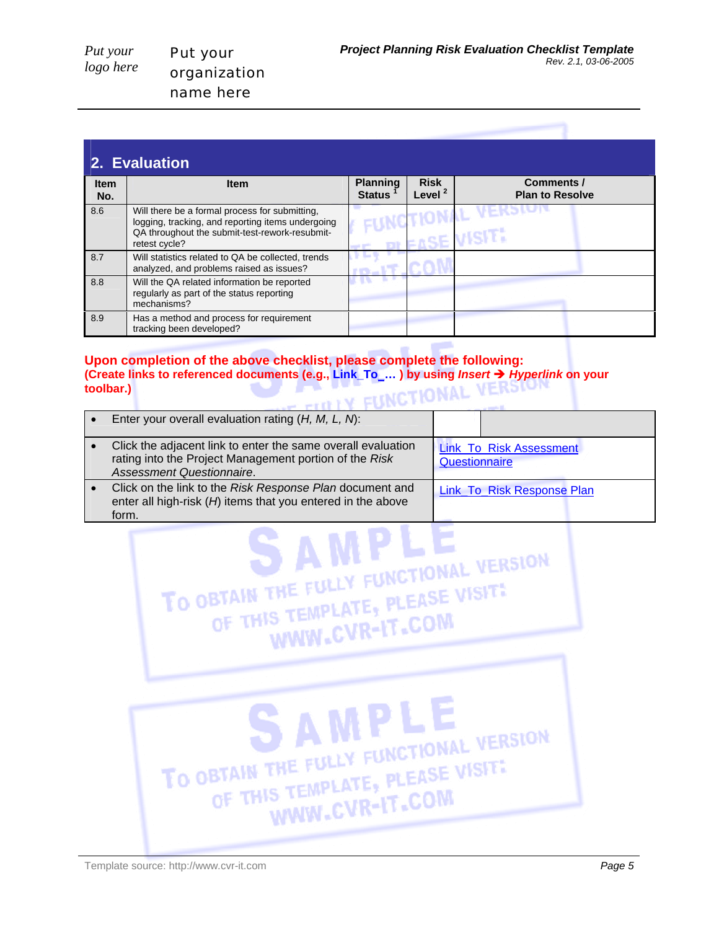|                    | 2. Evaluation                                                                                                                                                          |                                  |                                   |                                             |  |
|--------------------|------------------------------------------------------------------------------------------------------------------------------------------------------------------------|----------------------------------|-----------------------------------|---------------------------------------------|--|
| <b>Item</b><br>No. | <b>Item</b>                                                                                                                                                            | <b>Planning</b><br><b>Status</b> | <b>Risk</b><br>Level <sup>2</sup> | <b>Comments /</b><br><b>Plan to Resolve</b> |  |
| 8.6                | Will there be a formal process for submitting,<br>logging, tracking, and reporting items undergoing<br>QA throughout the submit-test-rework-resubmit-<br>retest cycle? |                                  |                                   | $X$ EKS $r$                                 |  |
| 8.7                | Will statistics related to QA be collected, trends<br>analyzed, and problems raised as issues?                                                                         |                                  |                                   |                                             |  |
| 8.8                | Will the QA related information be reported<br>regularly as part of the status reporting<br>mechanisms?                                                                |                                  |                                   |                                             |  |
| 8.9                | Has a method and process for requirement<br>tracking been developed?                                                                                                   |                                  |                                   |                                             |  |

## **Upon completion of the above checklist, please complete the following: (Create links to referenced documents (e.g., Link\_To\_… ) by using** *Insert* Î *Hyperlink* **on your toolbar.)**

| Enter your overall evaluation rating $(H, M, L, N)$ :                                                                                               |                                                 |
|-----------------------------------------------------------------------------------------------------------------------------------------------------|-------------------------------------------------|
| Click the adjacent link to enter the same overall evaluation<br>rating into the Project Management portion of the Risk<br>Assessment Questionnaire. | <b>Link To Risk Assessment</b><br>Questionnaire |
| Click on the link to the Risk Response Plan document and<br>enter all high-risk (H) items that you entered in the above<br>form.                    | Link_To_Risk Response Plan                      |
|                                                                                                                                                     |                                                 |